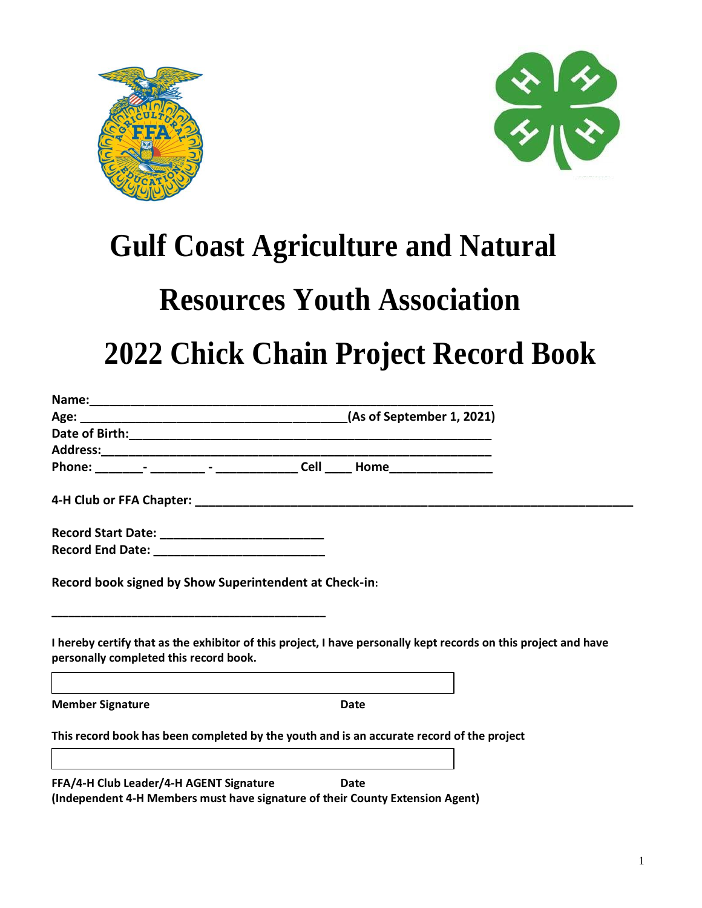



# **Gulf Coast Agriculture and Natural**

# **Resources Youth Association**

# **2022 Chick Chain Project Record Book**

| personally completed this record book.                                                                                   | I hereby certify that as the exhibitor of this project, I have personally kept records on this project and have |
|--------------------------------------------------------------------------------------------------------------------------|-----------------------------------------------------------------------------------------------------------------|
|                                                                                                                          |                                                                                                                 |
| <b>Member Signature</b>                                                                                                  | Date                                                                                                            |
| This record book has been completed by the youth and is an accurate record of the project                                |                                                                                                                 |
| FFA/4-H Club Leader/4-H AGENT Signature<br>(Independent 4-H Members must have signature of their County Extension Agent) | Date                                                                                                            |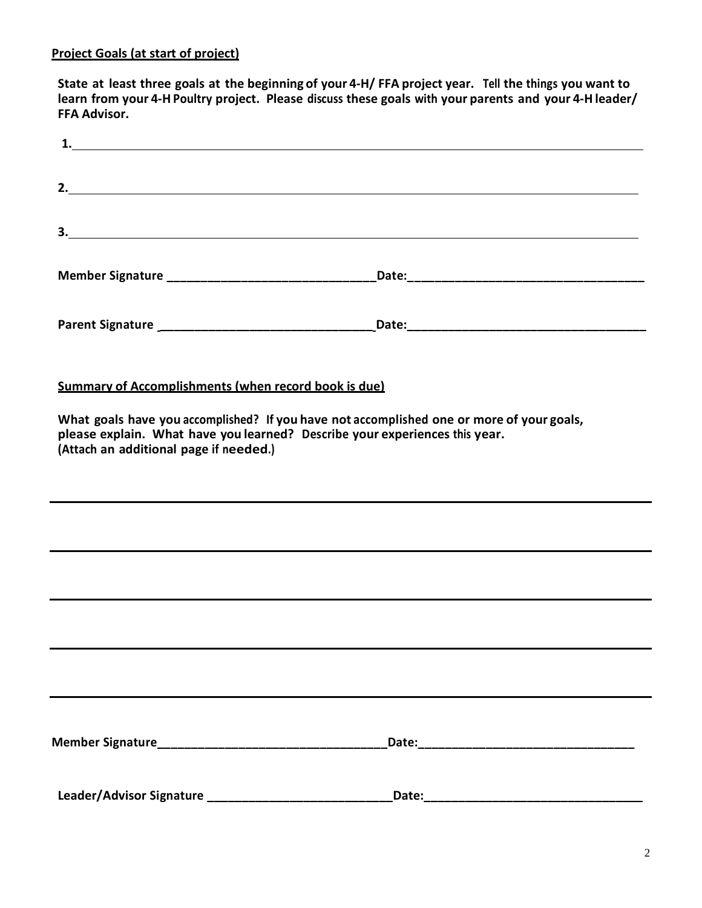State at least three goals at the beginning of your 4-H/FFA project year. Tell the things you want to **learn from your 4-H Poultry project. Please discuss these goals with your parents and your 4-H leader/ FFA Advisor.**

| 3.                                                                                                                                                                                                                 |  |
|--------------------------------------------------------------------------------------------------------------------------------------------------------------------------------------------------------------------|--|
|                                                                                                                                                                                                                    |  |
|                                                                                                                                                                                                                    |  |
| <b>Summary of Accomplishments (when record book is due)</b>                                                                                                                                                        |  |
| What goals have you accomplished? If you have not accomplished one or more of your goals,<br>please explain. What have you learned? Describe your experiences this year.<br>(Attach an additional page if needed.) |  |
|                                                                                                                                                                                                                    |  |
|                                                                                                                                                                                                                    |  |
|                                                                                                                                                                                                                    |  |
|                                                                                                                                                                                                                    |  |
|                                                                                                                                                                                                                    |  |
|                                                                                                                                                                                                                    |  |
|                                                                                                                                                                                                                    |  |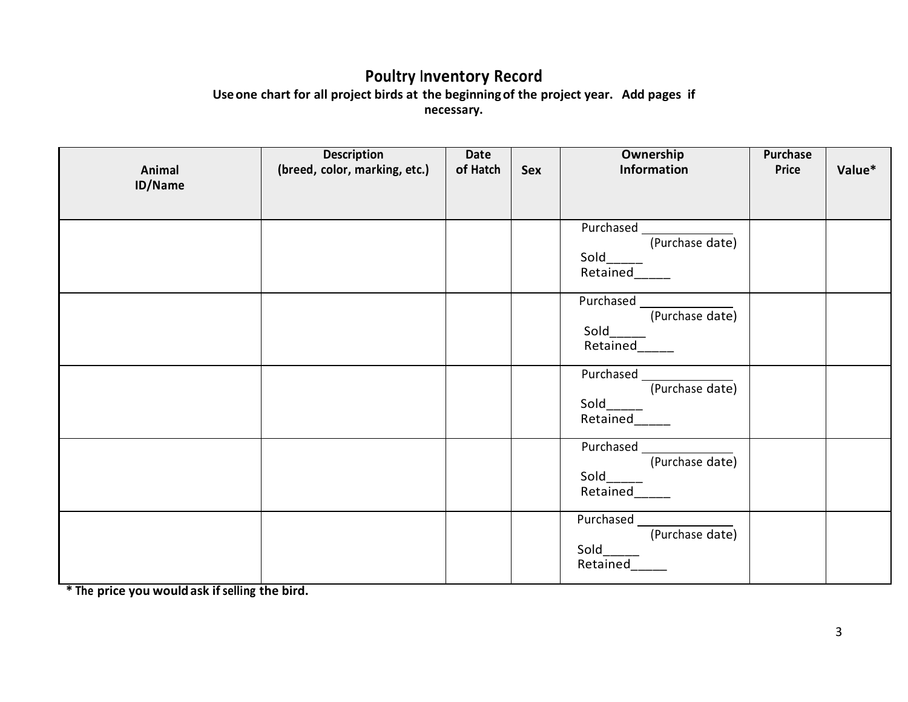#### **Poultry Inventory Record Useone chart for all project birds at the beginningof the project year. Add pages if necessary.**

| Animal<br>ID/Name | <b>Description</b><br>(breed, color, marking, etc.) | Date<br>of Hatch | Sex | Ownership<br>Information                            | <b>Purchase</b><br>Price | Value* |
|-------------------|-----------------------------------------------------|------------------|-----|-----------------------------------------------------|--------------------------|--------|
|                   |                                                     |                  |     |                                                     |                          |        |
|                   |                                                     |                  |     | Purchased<br>(Purchase date)<br>Sold_<br>Retained   |                          |        |
|                   |                                                     |                  |     | Purchased _<br>(Purchase date)<br>Sold<br>Retained_ |                          |        |
|                   |                                                     |                  |     | Purchased<br>(Purchase date)<br>Sold<br>Retained    |                          |        |
|                   |                                                     |                  |     | (Purchase date)<br>Sold<br>Retained                 |                          |        |
|                   |                                                     |                  |     | Purchased __<br>(Purchase date)<br>Sold<br>Retained |                          |        |

**\* The price you wouldask ifselling the bird.**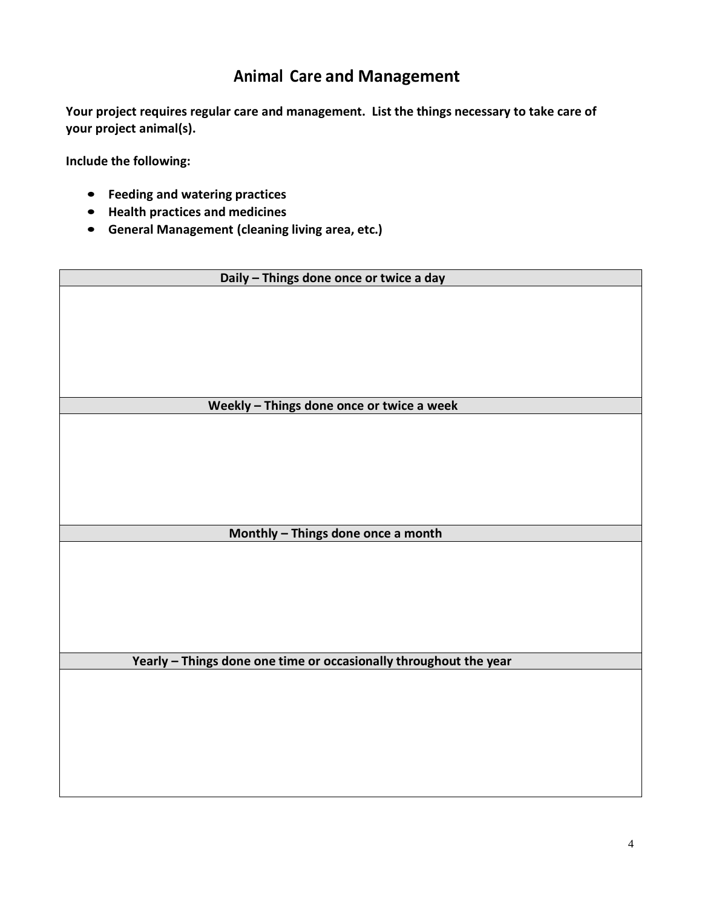### **Animal Care and Management**

**Your project requires regular care and management. List the things necessary to take care of your project animal(s).**

**Include the following:**

- **Feeding and watering practices**
- **Health practices and medicines**
- **General Management (cleaning living area, etc.)**

| Daily - Things done once or twice a day                           |  |  |  |
|-------------------------------------------------------------------|--|--|--|
|                                                                   |  |  |  |
|                                                                   |  |  |  |
|                                                                   |  |  |  |
|                                                                   |  |  |  |
|                                                                   |  |  |  |
| Weekly - Things done once or twice a week                         |  |  |  |
|                                                                   |  |  |  |
|                                                                   |  |  |  |
|                                                                   |  |  |  |
|                                                                   |  |  |  |
|                                                                   |  |  |  |
|                                                                   |  |  |  |
| Monthly - Things done once a month                                |  |  |  |
|                                                                   |  |  |  |
|                                                                   |  |  |  |
|                                                                   |  |  |  |
|                                                                   |  |  |  |
|                                                                   |  |  |  |
| Yearly - Things done one time or occasionally throughout the year |  |  |  |
|                                                                   |  |  |  |
|                                                                   |  |  |  |
|                                                                   |  |  |  |
|                                                                   |  |  |  |
|                                                                   |  |  |  |
|                                                                   |  |  |  |
|                                                                   |  |  |  |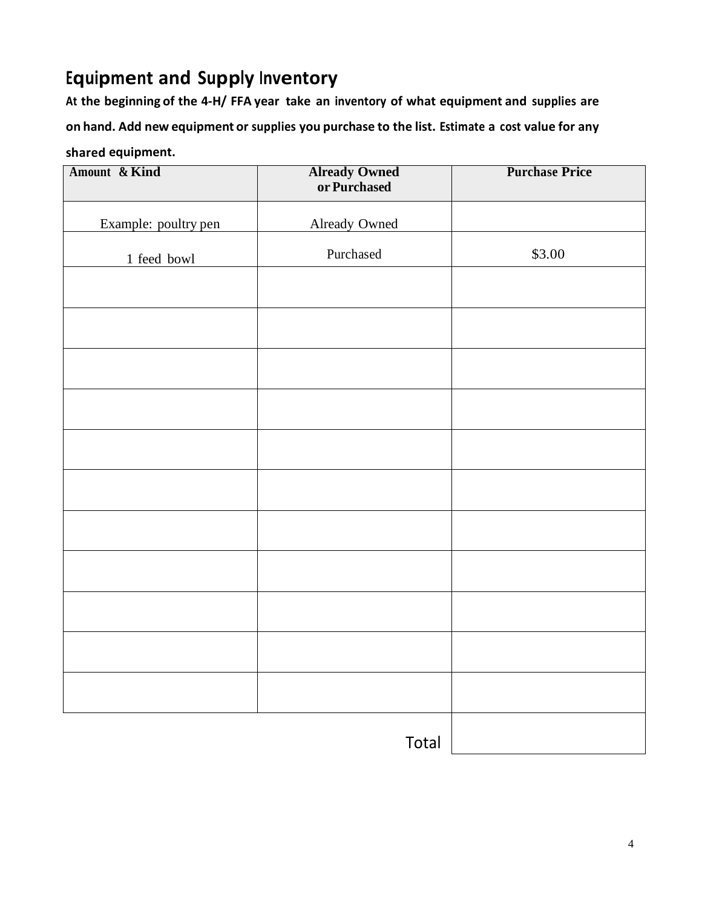## **Equipment and Supply Inventory**

**At the beginning of the 4-H/ FFA year take an inventory of what equipment and supplies are on hand. Add new equipment or supplies you purchase to the list. Estimate a cost value for any**

#### **shared equipment.**

| Amount & Kind        | <b>Already Owned</b><br>or Purchased | <b>Purchase Price</b> |
|----------------------|--------------------------------------|-----------------------|
| Example: poultry pen | <b>Already Owned</b>                 |                       |
| 1 feed bowl          | Purchased                            | \$3.00                |
|                      |                                      |                       |
|                      |                                      |                       |
|                      |                                      |                       |
|                      |                                      |                       |
|                      |                                      |                       |
|                      |                                      |                       |
|                      |                                      |                       |
|                      |                                      |                       |
|                      |                                      |                       |
|                      |                                      |                       |
|                      |                                      |                       |
|                      |                                      |                       |
|                      |                                      |                       |
|                      | Total                                |                       |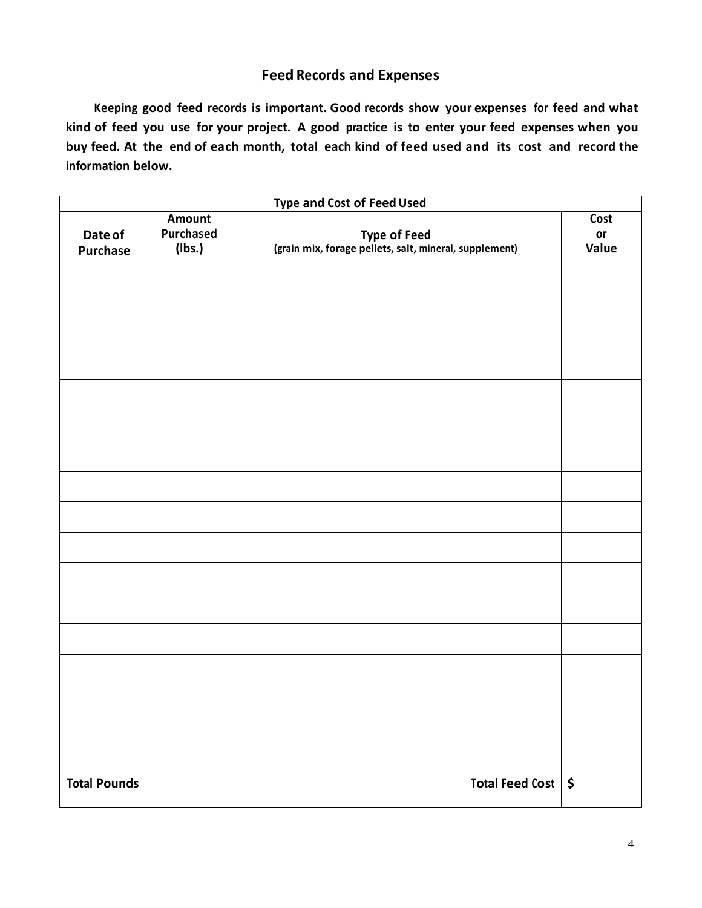#### **Feed Records and Expenses**

**Keeping good feed records is important. Good records show your expenses for feed and what kind of feed you use for your project. A good practice is to enter your feed expenses when you buy feed. At the end of each month, total each kind of feed used and its cost and record the information below.** 

| <b>Type and Cost of Feed Used</b> |                                      |                                                                               |                     |  |
|-----------------------------------|--------------------------------------|-------------------------------------------------------------------------------|---------------------|--|
| Date of<br><b>Purchase</b>        | Amount<br><b>Purchased</b><br>(lbs.) | <b>Type of Feed</b><br>(grain mix, forage pellets, salt, mineral, supplement) | Cost<br>or<br>Value |  |
|                                   |                                      |                                                                               |                     |  |
|                                   |                                      |                                                                               |                     |  |
|                                   |                                      |                                                                               |                     |  |
|                                   |                                      |                                                                               |                     |  |
|                                   |                                      |                                                                               |                     |  |
|                                   |                                      |                                                                               |                     |  |
|                                   |                                      |                                                                               |                     |  |
|                                   |                                      |                                                                               |                     |  |
|                                   |                                      |                                                                               |                     |  |
|                                   |                                      |                                                                               |                     |  |
|                                   |                                      |                                                                               |                     |  |
|                                   |                                      |                                                                               |                     |  |
|                                   |                                      |                                                                               |                     |  |
|                                   |                                      |                                                                               |                     |  |
|                                   |                                      |                                                                               |                     |  |
|                                   |                                      |                                                                               |                     |  |
|                                   |                                      |                                                                               |                     |  |
| <b>Total Pounds</b>               |                                      | Total Feed Cost \$                                                            |                     |  |
|                                   |                                      |                                                                               |                     |  |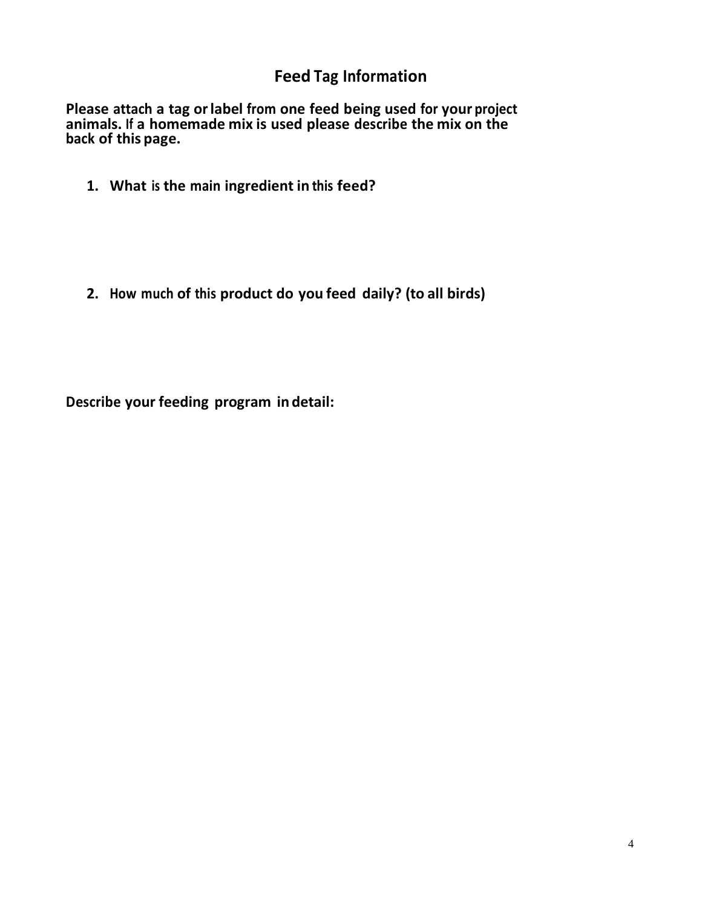## **Feed Tag Information**

**Please attach a tag orlabel from one feed being used for your project animals. If a homemade mix is used please describe the mix on the back of this page.**

**1. What is the main ingredient in this feed?**

**2. How much of this product do you feed daily? (to all birds)**

**Describe your feeding program in detail:**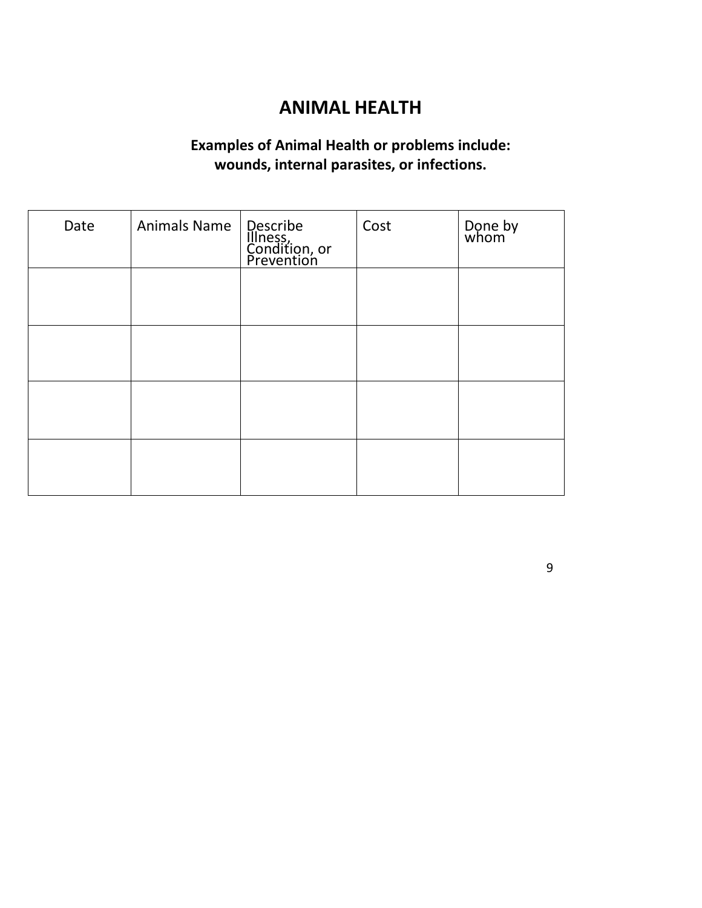### **ANIMAL HEALTH**

### **Examples of Animal Health or problems include: wounds, internal parasites, or infections.**

| Date | Animals Name | Describe<br>Illness,<br>Condition, or<br>Prevention | Cost | Done by<br>whom |
|------|--------------|-----------------------------------------------------|------|-----------------|
|      |              |                                                     |      |                 |
|      |              |                                                     |      |                 |
|      |              |                                                     |      |                 |
|      |              |                                                     |      |                 |

9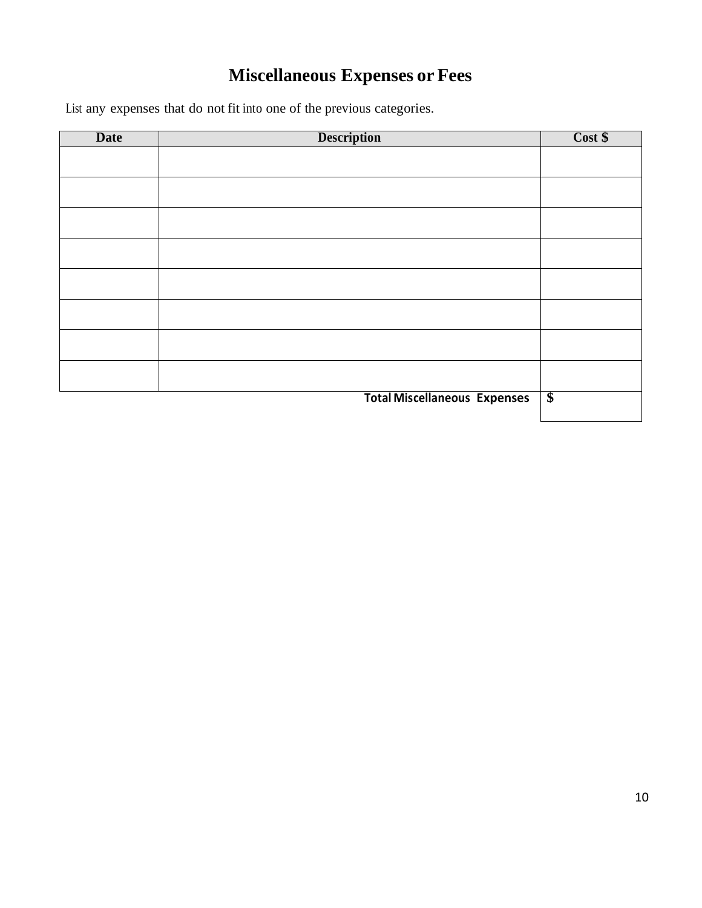## **Miscellaneous Expenses or Fees**

List any expenses that do not fit into one of the previous categories.

| <b>Date</b> | <b>Description</b>                  | Cost \$              |
|-------------|-------------------------------------|----------------------|
|             |                                     |                      |
|             |                                     |                      |
|             |                                     |                      |
|             |                                     |                      |
|             |                                     |                      |
|             |                                     |                      |
|             |                                     |                      |
|             |                                     |                      |
|             |                                     |                      |
|             |                                     |                      |
|             |                                     |                      |
|             |                                     |                      |
|             |                                     |                      |
|             | <b>Total Miscellaneous Expenses</b> | $\sqrt{\frac{2}{5}}$ |
|             |                                     |                      |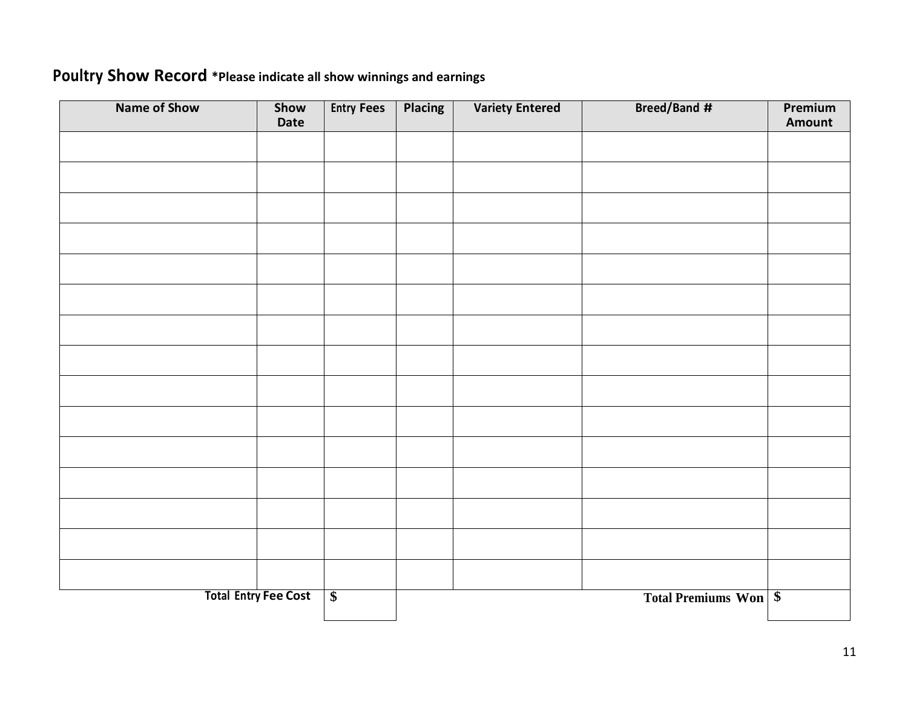### **Poultry Show Record \*Please indicate all show winnings and earnings**

| <b>Name of Show</b> | Show<br>Date                | <b>Entry Fees</b> | <b>Placing</b> | <b>Variety Entered</b> | <b>Breed/Band #</b>          | Premium<br>Amount |
|---------------------|-----------------------------|-------------------|----------------|------------------------|------------------------------|-------------------|
|                     |                             |                   |                |                        |                              |                   |
|                     |                             |                   |                |                        |                              |                   |
|                     |                             |                   |                |                        |                              |                   |
|                     |                             |                   |                |                        |                              |                   |
|                     |                             |                   |                |                        |                              |                   |
|                     |                             |                   |                |                        |                              |                   |
|                     |                             |                   |                |                        |                              |                   |
|                     |                             |                   |                |                        |                              |                   |
|                     |                             |                   |                |                        |                              |                   |
|                     |                             |                   |                |                        |                              |                   |
|                     |                             |                   |                |                        |                              |                   |
|                     |                             |                   |                |                        |                              |                   |
|                     |                             |                   |                |                        |                              |                   |
|                     |                             |                   |                |                        |                              |                   |
|                     |                             |                   |                |                        |                              |                   |
|                     | <b>Total Entry Fee Cost</b> | $\overline{\$}$   |                |                        | <b>Total Premiums Won</b> \$ |                   |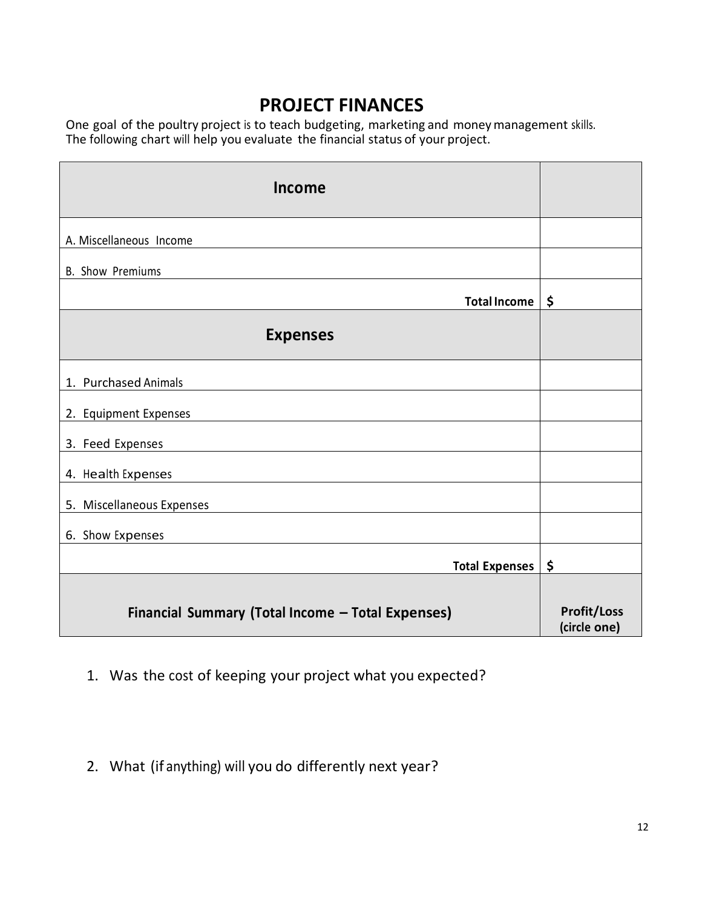### **PROJECT FINANCES**

One goal of the poultry project is to teach budgeting, marketing and moneymanagement skills. The following chart will help you evaluate the financial status of your project.

| Income                                            |                                    |
|---------------------------------------------------|------------------------------------|
| A. Miscellaneous Income                           |                                    |
| <b>B.</b> Show Premiums                           |                                    |
| <b>Total Income</b>                               | \$                                 |
| <b>Expenses</b>                                   |                                    |
| 1. Purchased Animals                              |                                    |
| 2. Equipment Expenses                             |                                    |
| 3. Feed Expenses                                  |                                    |
| 4. Health Expenses                                |                                    |
| 5. Miscellaneous Expenses                         |                                    |
| 6. Show Expenses                                  |                                    |
| <b>Total Expenses</b>                             | \$                                 |
| Financial Summary (Total Income - Total Expenses) | <b>Profit/Loss</b><br>(circle one) |

- 1. Was the cost of keeping your project what you expected?
- 2. What (if anything) will you do differently next year?